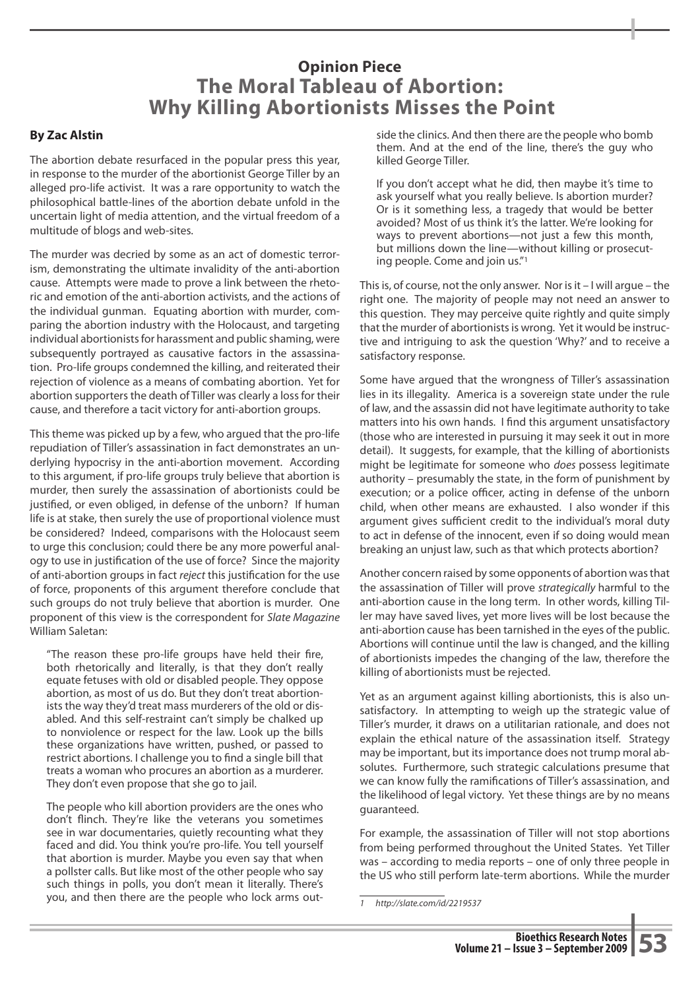# **Opinion Piece The Moral Tableau of Abortion: Why Killing Abortionists Misses the Point**

### **By Zac Alstin**

The abortion debate resurfaced in the popular press this year, in response to the murder of the abortionist George Tiller by an alleged pro-life activist. It was a rare opportunity to watch the philosophical battle-lines of the abortion debate unfold in the uncertain light of media attention, and the virtual freedom of a multitude of blogs and web-sites.

The murder was decried by some as an act of domestic terrorism, demonstrating the ultimate invalidity of the anti-abortion cause. Attempts were made to prove a link between the rhetoric and emotion of the anti-abortion activists, and the actions of the individual gunman. Equating abortion with murder, comparing the abortion industry with the Holocaust, and targeting individual abortionists for harassment and public shaming, were subsequently portrayed as causative factors in the assassination. Pro-life groups condemned the killing, and reiterated their rejection of violence as a means of combating abortion. Yet for abortion supporters the death of Tiller was clearly a loss for their cause, and therefore a tacit victory for anti-abortion groups.

This theme was picked up by a few, who argued that the pro-life repudiation of Tiller's assassination in fact demonstrates an underlying hypocrisy in the anti-abortion movement. According to this argument, if pro-life groups truly believe that abortion is murder, then surely the assassination of abortionists could be justified, or even obliged, in defense of the unborn? If human life is at stake, then surely the use of proportional violence must be considered? Indeed, comparisons with the Holocaust seem to urge this conclusion; could there be any more powerful analogy to use in justification of the use of force? Since the majority of anti-abortion groups in fact *reject* this justification for the use of force, proponents of this argument therefore conclude that such groups do not truly believe that abortion is murder. One proponent of this view is the correspondent for *Slate Magazine*  William Saletan:

"The reason these pro-life groups have held their fire, both rhetorically and literally, is that they don't really equate fetuses with old or disabled people. They oppose abortion, as most of us do. But they don't treat abortionists the way they'd treat mass murderers of the old or disabled. And this self-restraint can't simply be chalked up to nonviolence or respect for the law. Look up the bills these organizations have written, pushed, or passed to restrict abortions. I challenge you to find a single bill that treats a woman who procures an abortion as a murderer. They don't even propose that she go to jail.

The people who kill abortion providers are the ones who don't flinch. They're like the veterans you sometimes see in war documentaries, quietly recounting what they faced and did. You think you're pro-life. You tell yourself that abortion is murder. Maybe you even say that when a pollster calls. But like most of the other people who say such things in polls, you don't mean it literally. There's you, and then there are the people who lock arms outside the clinics. And then there are the people who bomb them. And at the end of the line, there's the guy who killed George Tiller.

If you don't accept what he did, then maybe it's time to ask yourself what you really believe. Is abortion murder? Or is it something less, a tragedy that would be better avoided? Most of us think it's the latter. We're looking for ways to prevent abortions—not just a few this month, but millions down the line—without killing or prosecuting people. Come and join us."1

This is, of course, not the only answer. Nor is it – I will argue – the right one. The majority of people may not need an answer to this question. They may perceive quite rightly and quite simply that the murder of abortionists is wrong. Yet it would be instructive and intriguing to ask the question 'Why?' and to receive a satisfactory response.

Some have argued that the wrongness of Tiller's assassination lies in its illegality. America is a sovereign state under the rule of law, and the assassin did not have legitimate authority to take matters into his own hands. I find this argument unsatisfactory (those who are interested in pursuing it may seek it out in more detail). It suggests, for example, that the killing of abortionists might be legitimate for someone who *does* possess legitimate authority – presumably the state, in the form of punishment by execution; or a police officer, acting in defense of the unborn child, when other means are exhausted. I also wonder if this argument gives sufficient credit to the individual's moral duty to act in defense of the innocent, even if so doing would mean breaking an unjust law, such as that which protects abortion?

Another concern raised by some opponents of abortion was that the assassination of Tiller will prove *strategically* harmful to the anti-abortion cause in the long term. In other words, killing Tiller may have saved lives, yet more lives will be lost because the anti-abortion cause has been tarnished in the eyes of the public. Abortions will continue until the law is changed, and the killing of abortionists impedes the changing of the law, therefore the killing of abortionists must be rejected.

Yet as an argument against killing abortionists, this is also unsatisfactory. In attempting to weigh up the strategic value of Tiller's murder, it draws on a utilitarian rationale, and does not explain the ethical nature of the assassination itself. Strategy may be important, but its importance does not trump moral absolutes. Furthermore, such strategic calculations presume that we can know fully the ramifications of Tiller's assassination, and the likelihood of legal victory. Yet these things are by no means guaranteed.

For example, the assassination of Tiller will not stop abortions from being performed throughout the United States. Yet Tiller was – according to media reports – one of only three people in the US who still perform late-term abortions. While the murder

*<sup>1</sup> http://slate.com/id/2219537*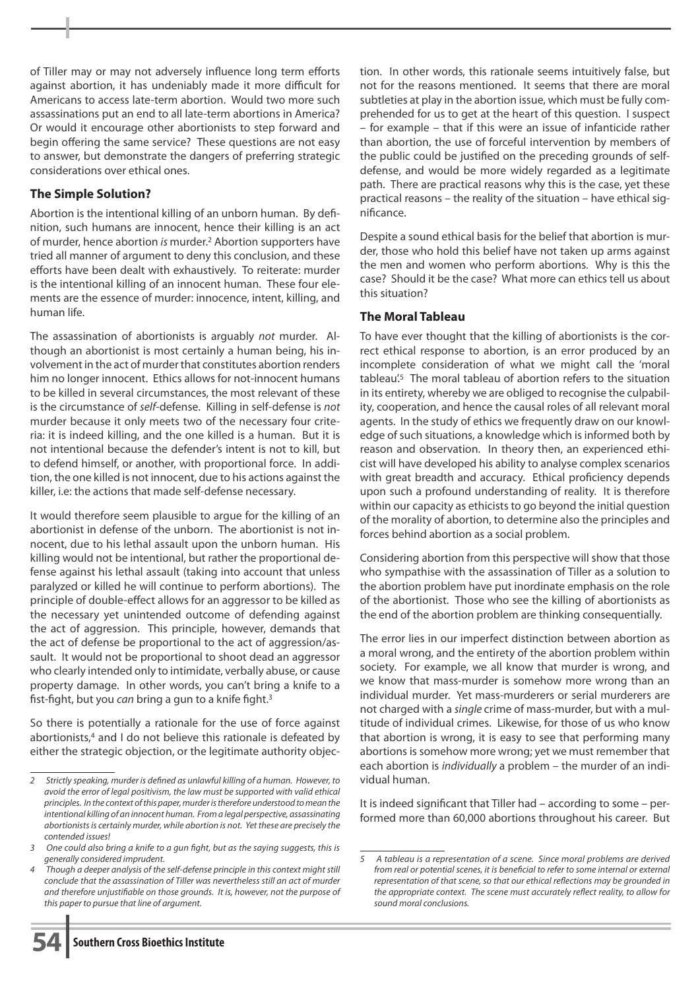of Tiller may or may not adversely influence long term efforts against abortion, it has undeniably made it more difficult for Americans to access late-term abortion. Would two more such assassinations put an end to all late-term abortions in America? Or would it encourage other abortionists to step forward and begin offering the same service? These questions are not easy to answer, but demonstrate the dangers of preferring strategic considerations over ethical ones.

# **The Simple Solution?**

Abortion is the intentional killing of an unborn human. By definition, such humans are innocent, hence their killing is an act of murder, hence abortion *is* murder.2 Abortion supporters have tried all manner of argument to deny this conclusion, and these efforts have been dealt with exhaustively. To reiterate: murder is the intentional killing of an innocent human. These four elements are the essence of murder: innocence, intent, killing, and human life.

The assassination of abortionists is arguably *not* murder. Although an abortionist is most certainly a human being, his involvement in the act of murder that constitutes abortion renders him no longer innocent. Ethics allows for not-innocent humans to be killed in several circumstances, the most relevant of these is the circumstance of *self*-defense. Killing in self-defense is *not*  murder because it only meets two of the necessary four criteria: it is indeed killing, and the one killed is a human. But it is not intentional because the defender's intent is not to kill, but to defend himself, or another, with proportional force. In addition, the one killed is not innocent, due to his actions against the killer, i.e: the actions that made self-defense necessary.

It would therefore seem plausible to argue for the killing of an abortionist in defense of the unborn. The abortionist is not innocent, due to his lethal assault upon the unborn human. His killing would not be intentional, but rather the proportional defense against his lethal assault (taking into account that unless paralyzed or killed he will continue to perform abortions). The principle of double-effect allows for an aggressor to be killed as the necessary yet unintended outcome of defending against the act of aggression. This principle, however, demands that the act of defense be proportional to the act of aggression/assault. It would not be proportional to shoot dead an aggressor who clearly intended only to intimidate, verbally abuse, or cause property damage. In other words, you can't bring a knife to a fist-fight, but you *can* bring a gun to a knife fight.3

So there is potentially a rationale for the use of force against abortionists,<sup>4</sup> and I do not believe this rationale is defeated by either the strategic objection, or the legitimate authority objec-

tion. In other words, this rationale seems intuitively false, but not for the reasons mentioned. It seems that there are moral subtleties at play in the abortion issue, which must be fully comprehended for us to get at the heart of this question. I suspect – for example – that if this were an issue of infanticide rather than abortion, the use of forceful intervention by members of the public could be justified on the preceding grounds of selfdefense, and would be more widely regarded as a legitimate path. There are practical reasons why this is the case, yet these practical reasons – the reality of the situation – have ethical significance.

Despite a sound ethical basis for the belief that abortion is murder, those who hold this belief have not taken up arms against the men and women who perform abortions. Why is this the case? Should it be the case? What more can ethics tell us about this situation?

## **The Moral Tableau**

To have ever thought that the killing of abortionists is the correct ethical response to abortion, is an error produced by an incomplete consideration of what we might call the 'moral tableau<sup>'.5</sup> The moral tableau of abortion refers to the situation in its entirety, whereby we are obliged to recognise the culpability, cooperation, and hence the causal roles of all relevant moral agents. In the study of ethics we frequently draw on our knowledge of such situations, a knowledge which is informed both by reason and observation. In theory then, an experienced ethicist will have developed his ability to analyse complex scenarios with great breadth and accuracy. Ethical proficiency depends upon such a profound understanding of reality. It is therefore within our capacity as ethicists to go beyond the initial question of the morality of abortion, to determine also the principles and forces behind abortion as a social problem.

Considering abortion from this perspective will show that those who sympathise with the assassination of Tiller as a solution to the abortion problem have put inordinate emphasis on the role of the abortionist. Those who see the killing of abortionists as the end of the abortion problem are thinking consequentially.

The error lies in our imperfect distinction between abortion as a moral wrong, and the entirety of the abortion problem within society. For example, we all know that murder is wrong, and we know that mass-murder is somehow more wrong than an individual murder. Yet mass-murderers or serial murderers are not charged with a *single* crime of mass-murder, but with a multitude of individual crimes. Likewise, for those of us who know that abortion is wrong, it is easy to see that performing many abortions is somehow more wrong; yet we must remember that each abortion is *individually* a problem – the murder of an individual human.

It is indeed significant that Tiller had – according to some – performed more than 60,000 abortions throughout his career. But



*<sup>2</sup> Strictly speaking, murder is defined as unlawful killing of a human. However, to avoid the error of legal positivism, the law must be supported with valid ethical principles. In the context of this paper, murder is therefore understood to mean the intentional killing of an innocent human. From a legal perspective, assassinating abortionists is certainly murder, while abortion is not. Yet these are precisely the contended issues!* 

*<sup>3</sup> One could also bring a knife to a gun fight, but as the saying suggests, this is generally considered imprudent.*

*<sup>4</sup> Though a deeper analysis of the self-defense principle in this context might still conclude that the assassination of Tiller was nevertheless still an act of murder and therefore unjustifiable on those grounds. It is, however, not the purpose of this paper to pursue that line of argument.*

*<sup>5</sup> A tableau is a representation of a scene. Since moral problems are derived from real or potential scenes, it is beneficial to refer to some internal or external representation of that scene, so that our ethical reflections may be grounded in the appropriate context. The scene must accurately reflect reality, to allow for sound moral conclusions.*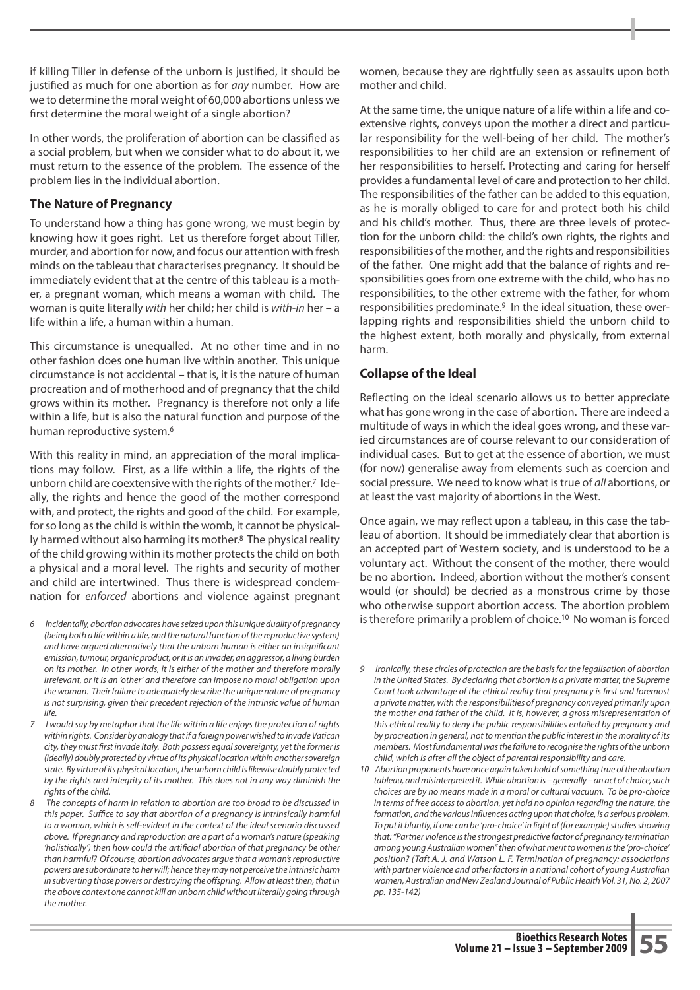if killing Tiller in defense of the unborn is justified, it should be justified as much for one abortion as for *any* number. How are we to determine the moral weight of 60,000 abortions unless we first determine the moral weight of a single abortion?

In other words, the proliferation of abortion can be classified as a social problem, but when we consider what to do about it, we must return to the essence of the problem. The essence of the problem lies in the individual abortion.

#### **The Nature of Pregnancy**

To understand how a thing has gone wrong, we must begin by knowing how it goes right. Let us therefore forget about Tiller, murder, and abortion for now, and focus our attention with fresh minds on the tableau that characterises pregnancy. It should be immediately evident that at the centre of this tableau is a mother, a pregnant woman, which means a woman with child. The woman is quite literally *with* her child; her child is *with-in* her – a life within a life, a human within a human.

This circumstance is unequalled. At no other time and in no other fashion does one human live within another. This unique circumstance is not accidental – that is, it is the nature of human procreation and of motherhood and of pregnancy that the child grows within its mother. Pregnancy is therefore not only a life within a life, but is also the natural function and purpose of the human reproductive system.6

With this reality in mind, an appreciation of the moral implications may follow. First, as a life within a life, the rights of the unborn child are coextensive with the rights of the mother.<sup>7</sup> Ideally, the rights and hence the good of the mother correspond with, and protect, the rights and good of the child. For example, for so long as the child is within the womb, it cannot be physically harmed without also harming its mother.<sup>8</sup> The physical reality of the child growing within its mother protects the child on both a physical and a moral level. The rights and security of mother and child are intertwined. Thus there is widespread condemnation for *enforced* abortions and violence against pregnant

women, because they are rightfully seen as assaults upon both mother and child.

At the same time, the unique nature of a life within a life and coextensive rights, conveys upon the mother a direct and particular responsibility for the well-being of her child. The mother's responsibilities to her child are an extension or refinement of her responsibilities to herself. Protecting and caring for herself provides a fundamental level of care and protection to her child. The responsibilities of the father can be added to this equation, as he is morally obliged to care for and protect both his child and his child's mother. Thus, there are three levels of protection for the unborn child: the child's own rights, the rights and responsibilities of the mother, and the rights and responsibilities of the father. One might add that the balance of rights and responsibilities goes from one extreme with the child, who has no responsibilities, to the other extreme with the father, for whom responsibilities predominate.9 In the ideal situation, these overlapping rights and responsibilities shield the unborn child to the highest extent, both morally and physically, from external harm.

#### **Collapse of the Ideal**

Reflecting on the ideal scenario allows us to better appreciate what has gone wrong in the case of abortion. There are indeed a multitude of ways in which the ideal goes wrong, and these varied circumstances are of course relevant to our consideration of individual cases. But to get at the essence of abortion, we must (for now) generalise away from elements such as coercion and social pressure. We need to know what is true of *all* abortions, or at least the vast majority of abortions in the West.

Once again, we may reflect upon a tableau, in this case the tableau of abortion. It should be immediately clear that abortion is an accepted part of Western society, and is understood to be a voluntary act. Without the consent of the mother, there would be no abortion. Indeed, abortion without the mother's consent would (or should) be decried as a monstrous crime by those who otherwise support abortion access. The abortion problem is therefore primarily a problem of choice.10 No woman is forced

*<sup>6</sup> Incidentally, abortion advocates have seized upon this unique duality of pregnancy (being both a life within a life, and the natural function of the reproductive system) and have argued alternatively that the unborn human is either an insignificant emission, tumour, organic product, or it is an invader, an aggressor, a living burden on its mother. In other words, it is either of the mother and therefore morally irrelevant, or it is an 'other' and therefore can impose no moral obligation upon the woman. Their failure to adequately describe the unique nature of pregnancy is not surprising, given their precedent rejection of the intrinsic value of human life.*

*<sup>7</sup> I would say by metaphor that the life within a life enjoys the protection of rights within rights. Consider by analogy that if a foreign power wished to invade Vatican city, they must first invade Italy. Both possess equal sovereignty, yet the former is (ideally) doubly protected by virtue of its physical location within another sovereign state. By virtue of its physical location, the unborn child is likewise doubly protected by the rights and integrity of its mother. This does not in any way diminish the rights of the child.*

*<sup>8</sup> The concepts of harm in relation to abortion are too broad to be discussed in this paper. Suffice to say that abortion of a pregnancy is intrinsically harmful to a woman, which is self-evident in the context of the ideal scenario discussed above. If pregnancy and reproduction are a part of a woman's nature (speaking 'holistically') then how could the artificial abortion of that pregnancy be other than harmful? Of course, abortion advocates argue that a woman's reproductive powers are subordinate to her will; hence they may not perceive the intrinsic harm*  in subverting those powers or destroying the offspring. Allow at least then, that in *the above context one cannot kill an unborn child without literally going through the mother.* 

*<sup>9</sup> Ironically, these circles of protection are the basis for the legalisation of abortion in the United States. By declaring that abortion is a private matter, the Supreme Court took advantage of the ethical reality that pregnancy is first and foremost a private matter, with the responsibilities of pregnancy conveyed primarily upon the mother and father of the child. It is, however, a gross misrepresentation of this ethical reality to deny the public responsibilities entailed by pregnancy and by procreation in general, not to mention the public interest in the morality of its members. Most fundamental was the failure to recognise the rights of the unborn child, which is after all the object of parental responsibility and care.*

*<sup>10</sup> Abortion proponents have once again taken hold of something true of the abortion tableau, and misinterpreted it. While abortion is – generally – an act of choice, such choices are by no means made in a moral or cultural vacuum. To be pro-choice in terms of free access to abortion, yet hold no opinion regarding the nature, the formation, and the various influences acting upon that choice, is a serious problem. To put it bluntly, if one can be 'pro-choice' in light of (for example) studies showing that: "Partner violence is the strongest predictive factor of pregnancy termination among young Australian women" then of what merit to women is the 'pro-choice' position? (Taft A. J. and Watson L. F. Termination of pregnancy: associations with partner violence and other factors in a national cohort of young Australian women, Australian and New Zealand Journal of Public Health Vol. 31, No. 2, 2007 pp. 135-142)*